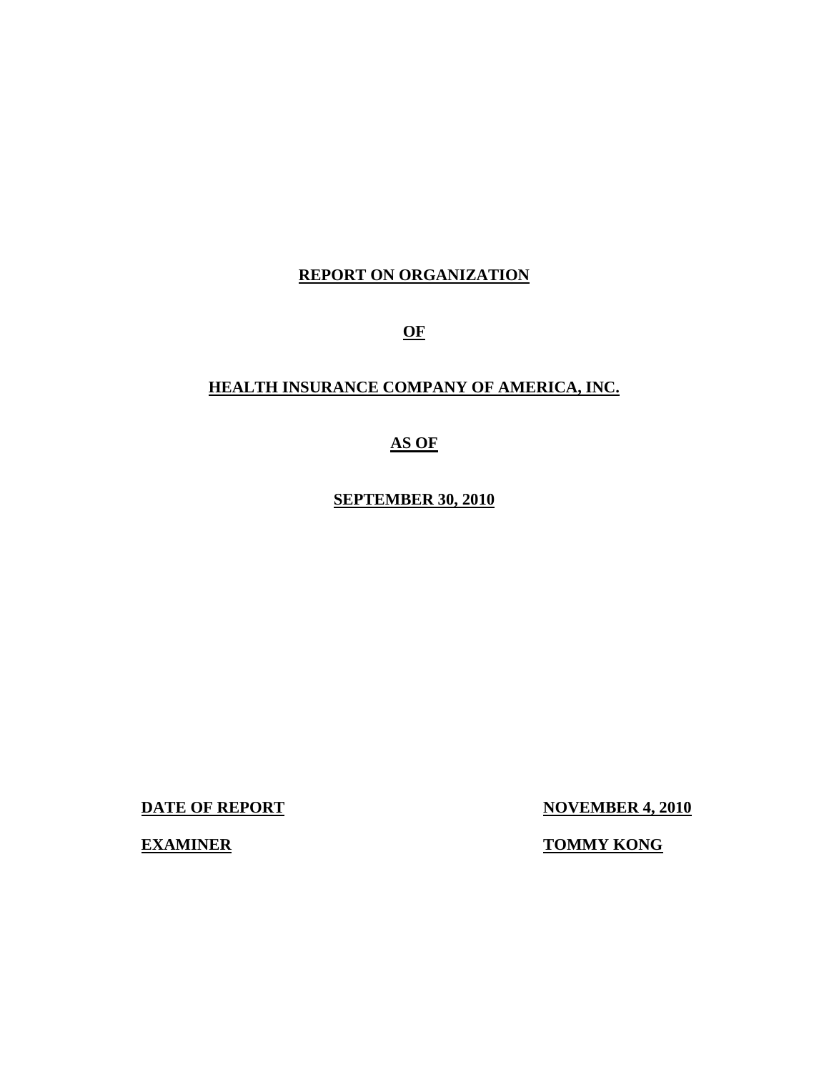# **REPORT ON ORGANIZATION**

**OF** 

# **HEALTH INSURANCE COMPANY OF AMERICA, INC.**

# **AS OF**

**SEPTEMBER 30, 2010** 

**DATE OF REPORT NOVEMBER 4, 2010** 

**EXAMINER TOMMY KONG**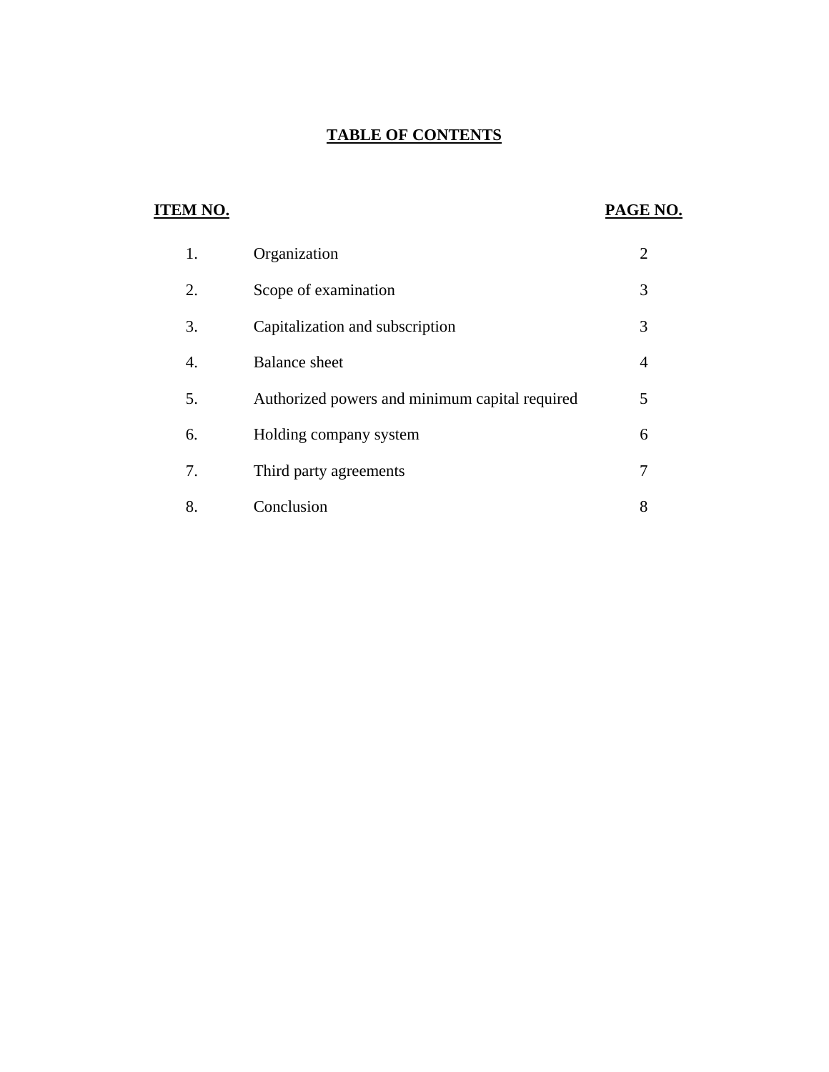# **TABLE OF CONTENTS**

# **ITEM NO. PAGE NO.**

| 1. | Organization                                   | $\overline{2}$ |
|----|------------------------------------------------|----------------|
| 2. | Scope of examination                           | 3              |
| 3. | Capitalization and subscription                | 3              |
| 4. | <b>Balance</b> sheet                           | 4              |
| 5. | Authorized powers and minimum capital required | 5              |
| 6. | Holding company system                         | 6              |
| 7. | Third party agreements                         |                |
| 8. | Conclusion                                     | 8              |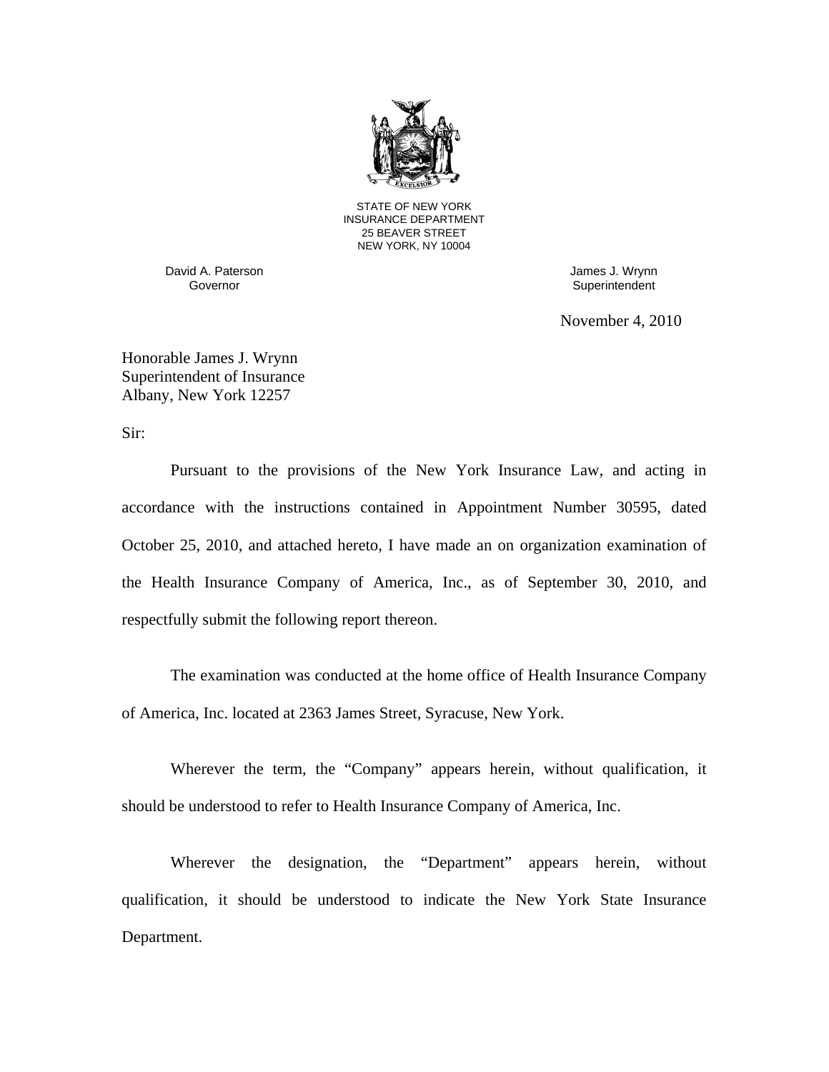

STATE OF NEW YORK INSURANCE DEPARTMENT 25 BEAVER STREET NEW YORK, NY 10004

David A. Paterson James J. Wrynn

Governor **Governor** Superintendent

November 4, 2010

Honorable James J. Wrynn Superintendent of Insurance Albany, New York 12257

Sir:

Pursuant to the provisions of the New York Insurance Law, and acting in accordance with the instructions contained in Appointment Number 30595, dated October 25, 2010, and attached hereto, I have made an on organization examination of the Health Insurance Company of America, Inc., as of September 30, 2010, and respectfully submit the following report thereon.

The examination was conducted at the home office of Health Insurance Company of America, Inc. located at 2363 James Street, Syracuse, New York.

Wherever the term, the "Company" appears herein, without qualification, it should be understood to refer to Health Insurance Company of America, Inc.

Wherever the designation, the "Department" appears herein, without qualification, it should be understood to indicate the New York State Insurance Department.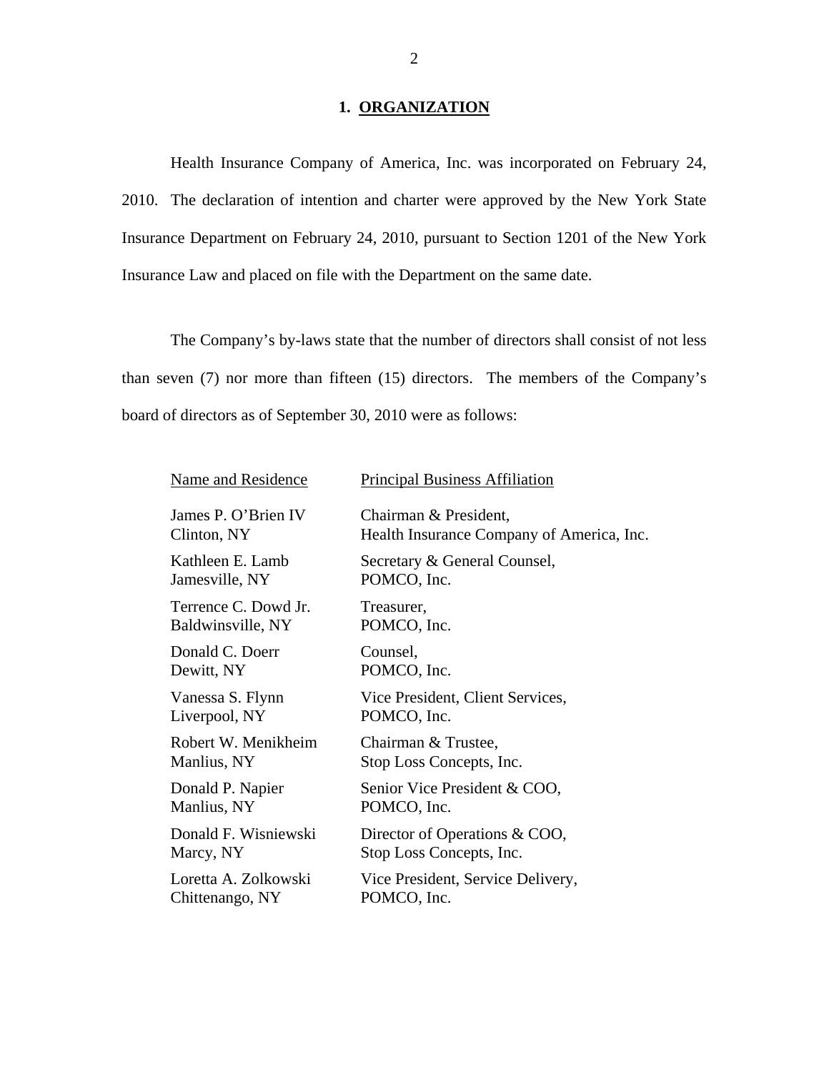# 1. ORGANIZATION

Health Insurance Company of America, Inc. was incorporated on February 24, 2010. The declaration of intention and charter were approved by the New York State Insurance Department on February 24, 2010, pursuant to Section 1201 of the New York Insurance Law and placed on file with the Department on the same date.

The Company's by-laws state that the number of directors shall consist of not less than seven (7) nor more than fifteen (15) directors. The members of the Company's board of directors as of September 30, 2010 were as follows:

| Name and Residence   | <b>Principal Business Affiliation</b>     |
|----------------------|-------------------------------------------|
| James P. O'Brien IV  | Chairman & President,                     |
| Clinton, NY          | Health Insurance Company of America, Inc. |
| Kathleen E. Lamb     | Secretary & General Counsel,              |
| Jamesville, NY       | POMCO, Inc.                               |
| Terrence C. Dowd Jr. | Treasurer,                                |
| Baldwinsville, NY    | POMCO, Inc.                               |
| Donald C. Doerr      | Counsel,                                  |
| Dewitt, NY           | POMCO, Inc.                               |
| Vanessa S. Flynn     | Vice President, Client Services,          |
| Liverpool, NY        | POMCO, Inc.                               |
| Robert W. Menikheim  | Chairman & Trustee,                       |
| Manlius, NY          | Stop Loss Concepts, Inc.                  |
| Donald P. Napier     | Senior Vice President & COO,              |
| Manlius, NY          | POMCO, Inc.                               |
| Donald F. Wisniewski | Director of Operations & COO,             |
| Marcy, NY            | Stop Loss Concepts, Inc.                  |
| Loretta A. Zolkowski | Vice President, Service Delivery,         |
| Chittenango, NY      | POMCO, Inc.                               |
|                      |                                           |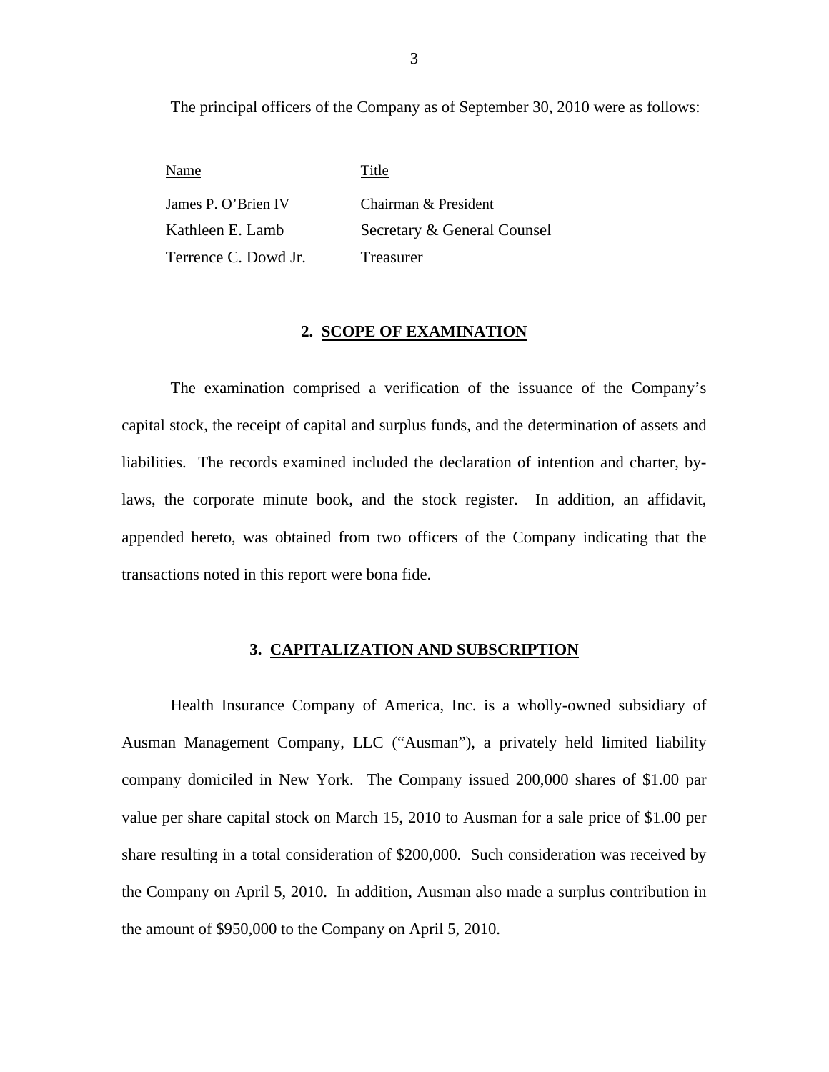The principal officers of the Company as of September 30, 2010 were as follows:

Name Title James P. O'Brien IV Kathleen E. Lamb Terrence C. Dowd Jr. Chairman & President Secretary & General Counsel Treasurer

## **2. SCOPE OF EXAMINATION**

The examination comprised a verification of the issuance of the Company's capital stock, the receipt of capital and surplus funds, and the determination of assets and liabilities. The records examined included the declaration of intention and charter, bylaws, the corporate minute book, and the stock register. In addition, an affidavit, appended hereto, was obtained from two officers of the Company indicating that the transactions noted in this report were bona fide.

## **3. CAPITALIZATION AND SUBSCRIPTION**

Health Insurance Company of America, Inc. is a wholly-owned subsidiary of Ausman Management Company, LLC ("Ausman"), a privately held limited liability company domiciled in New York. The Company issued 200,000 shares of \$1.00 par value per share capital stock on March 15, 2010 to Ausman for a sale price of \$1.00 per share resulting in a total consideration of \$200,000. Such consideration was received by the Company on April 5, 2010. In addition, Ausman also made a surplus contribution in the amount of \$950,000 to the Company on April 5, 2010.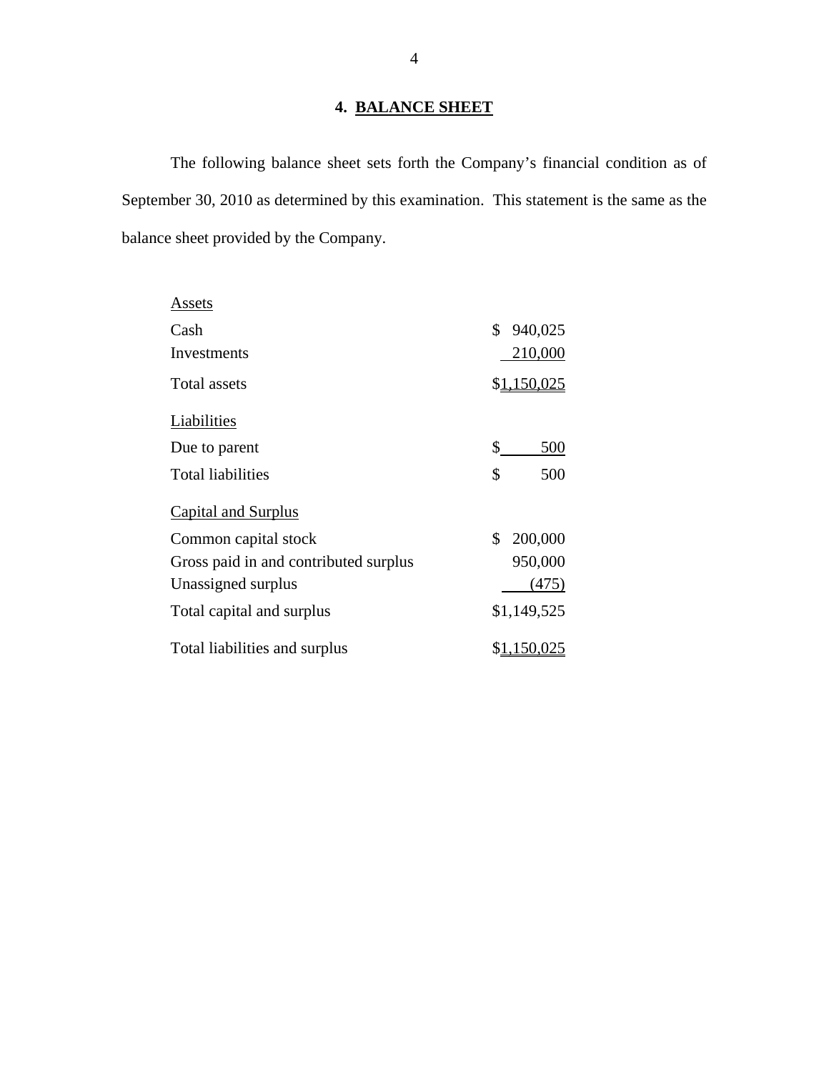# **4. BALANCE SHEET**

<span id="page-5-0"></span>The following balance sheet sets forth the Company's financial condition as of September 30, 2010 as determined by this examination. This statement is the same as the balance sheet provided by the Company.

| Assets                                |               |
|---------------------------------------|---------------|
| Cash                                  | \$<br>940,025 |
| Investments                           | 210,000       |
| Total assets                          | \$1,150,025   |
| Liabilities                           |               |
| Due to parent                         | \$<br>500     |
| <b>Total liabilities</b>              | \$<br>500     |
| <b>Capital and Surplus</b>            |               |
| Common capital stock                  | \$<br>200,000 |
| Gross paid in and contributed surplus | 950,000       |
| Unassigned surplus                    | (475)         |
| Total capital and surplus             | \$1,149,525   |
| Total liabilities and surplus         |               |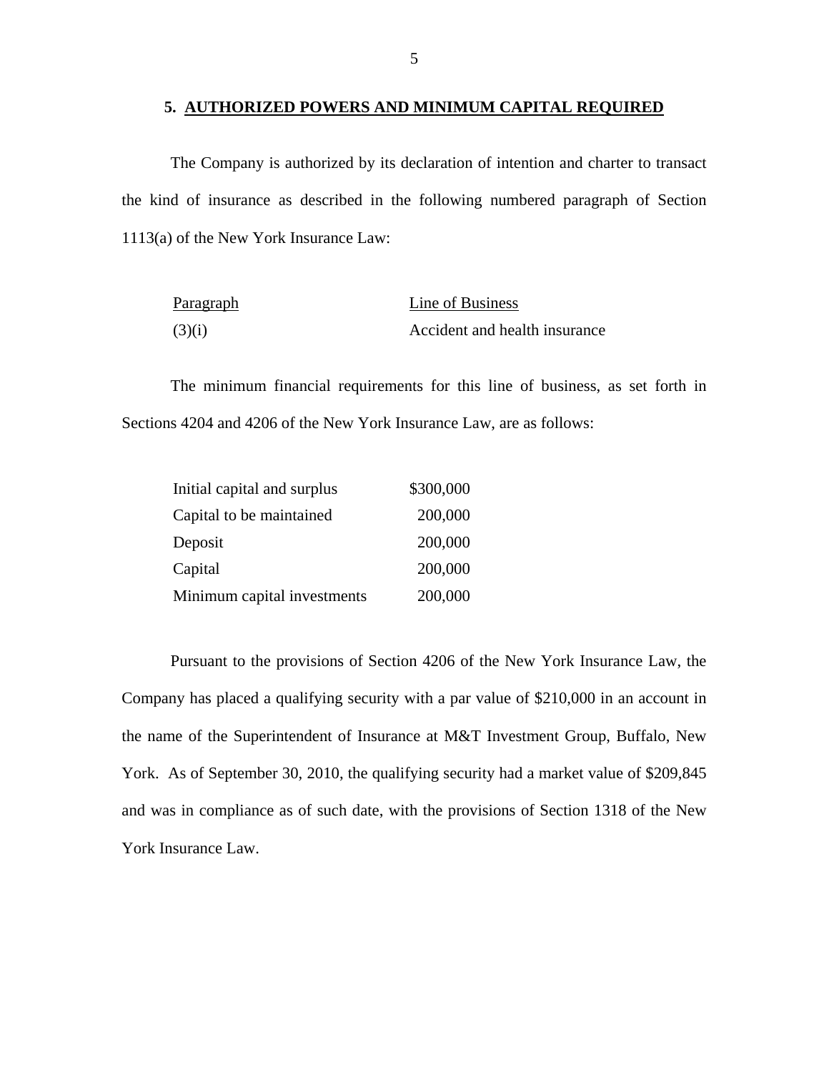#### **5. AUTHORIZED POWERS AND MINIMUM CAPITAL REQUIRED**

The Company is authorized by its declaration of intention and charter to transact the kind of insurance as described in the following numbered paragraph of Section 1113(a) of the New York Insurance Law:

| <u>Paragraph</u> | Line of Business              |
|------------------|-------------------------------|
| (3)(i)           | Accident and health insurance |

The minimum financial requirements for this line of business, as set forth in Sections 4204 and 4206 of the New York Insurance Law, are as follows:

| Initial capital and surplus | \$300,000 |
|-----------------------------|-----------|
| Capital to be maintained    | 200,000   |
| Deposit                     | 200,000   |
| Capital                     | 200,000   |
| Minimum capital investments | 200,000   |

Pursuant to the provisions of Section 4206 of the New York Insurance Law, the Company has placed a qualifying security with a par value of \$210,000 in an account in the name of the Superintendent of Insurance at M&T Investment Group, Buffalo, New York. As of September 30, 2010, the qualifying security had a market value of \$209,845 and was in compliance as of such date, with the provisions of Section 1318 of the New York Insurance Law.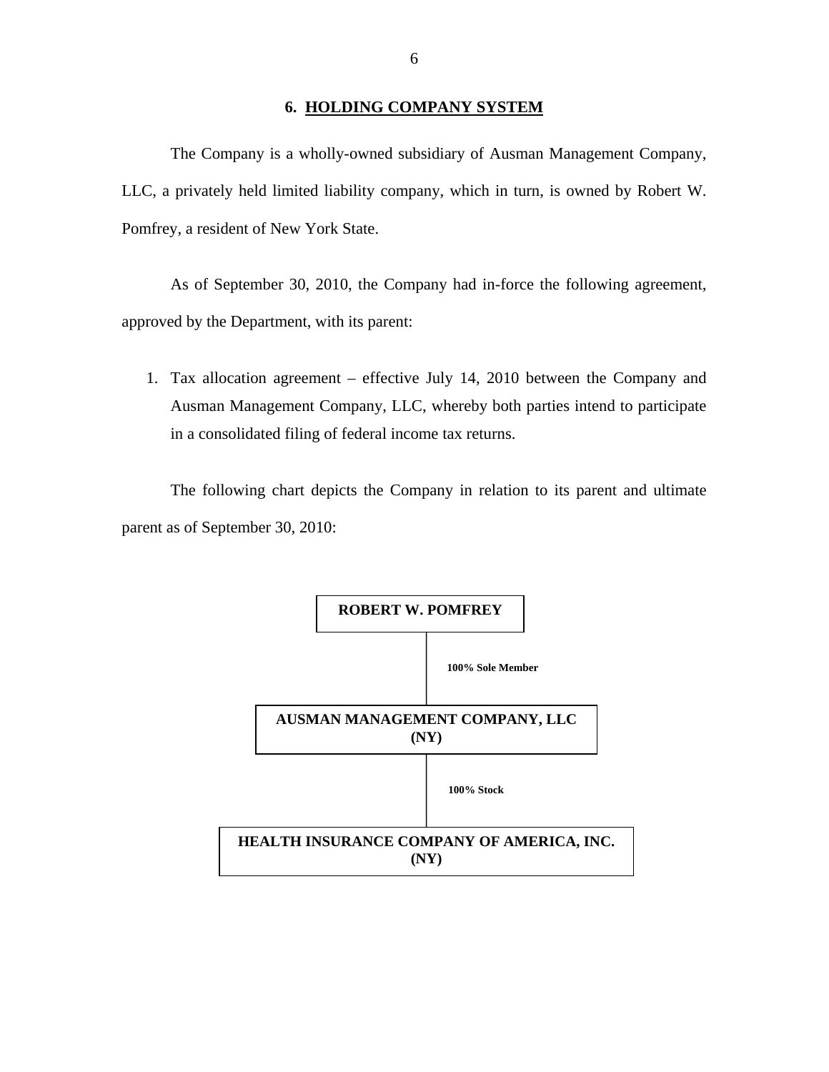## **6. HOLDING COMPANY SYSTEM**

<span id="page-7-0"></span>The Company is a wholly-owned subsidiary of Ausman Management Company, LLC, a privately held limited liability company, which in turn, is owned by Robert W. Pomfrey, a resident of New York State.

As of September 30, 2010, the Company had in-force the following agreement, approved by the Department, with its parent:

1. Tax allocation agreement – effective July 14, 2010 between the Company and Ausman Management Company, LLC, whereby both parties intend to participate in a consolidated filing of federal income tax returns.

The following chart depicts the Company in relation to its parent and ultimate parent as of September 30, 2010:

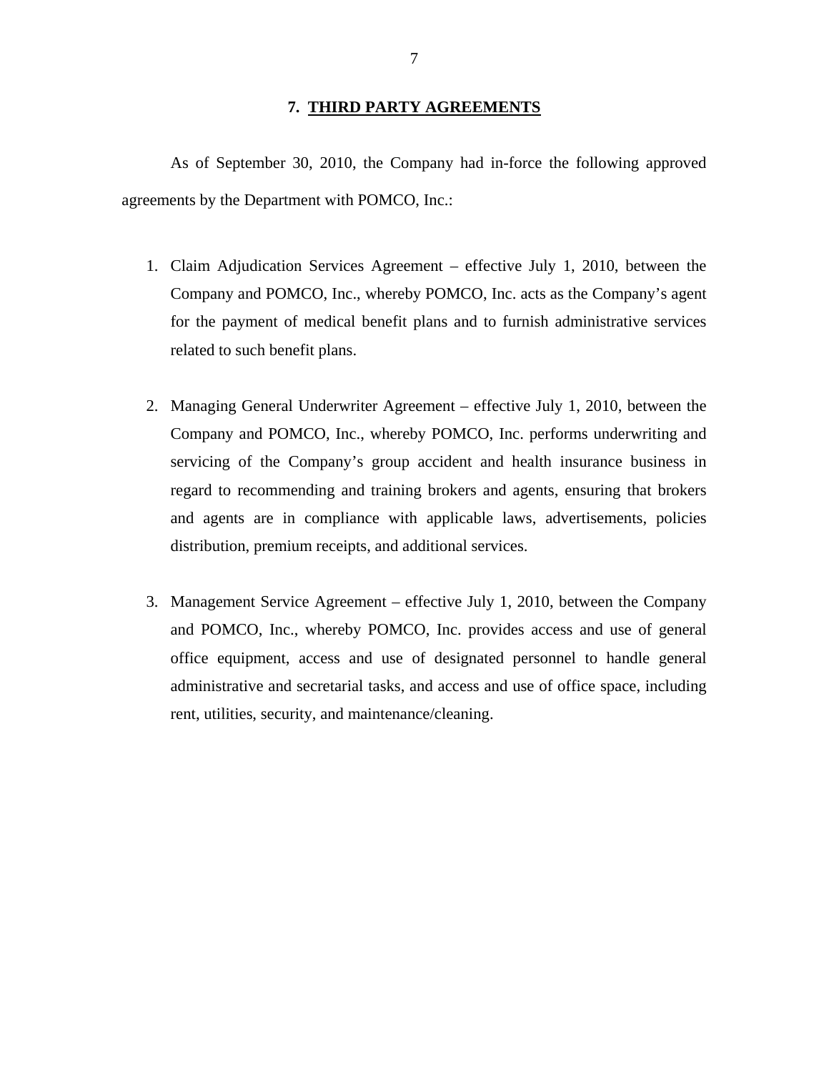## **7. THIRD PARTY AGREEMENTS**

<span id="page-8-0"></span>As of September 30, 2010, the Company had in-force the following approved agreements by the Department with POMCO, Inc.:

- 1. Claim Adjudication Services Agreement effective July 1, 2010, between the Company and POMCO, Inc., whereby POMCO, Inc. acts as the Company's agent for the payment of medical benefit plans and to furnish administrative services related to such benefit plans.
- 2. Managing General Underwriter Agreement effective July 1, 2010, between the Company and POMCO, Inc., whereby POMCO, Inc. performs underwriting and servicing of the Company's group accident and health insurance business in regard to recommending and training brokers and agents, ensuring that brokers and agents are in compliance with applicable laws, advertisements, policies distribution, premium receipts, and additional services.
- 3. Management Service Agreement effective July 1, 2010, between the Company and POMCO, Inc., whereby POMCO, Inc. provides access and use of general office equipment, access and use of designated personnel to handle general administrative and secretarial tasks, and access and use of office space, including rent, utilities, security, and maintenance/cleaning.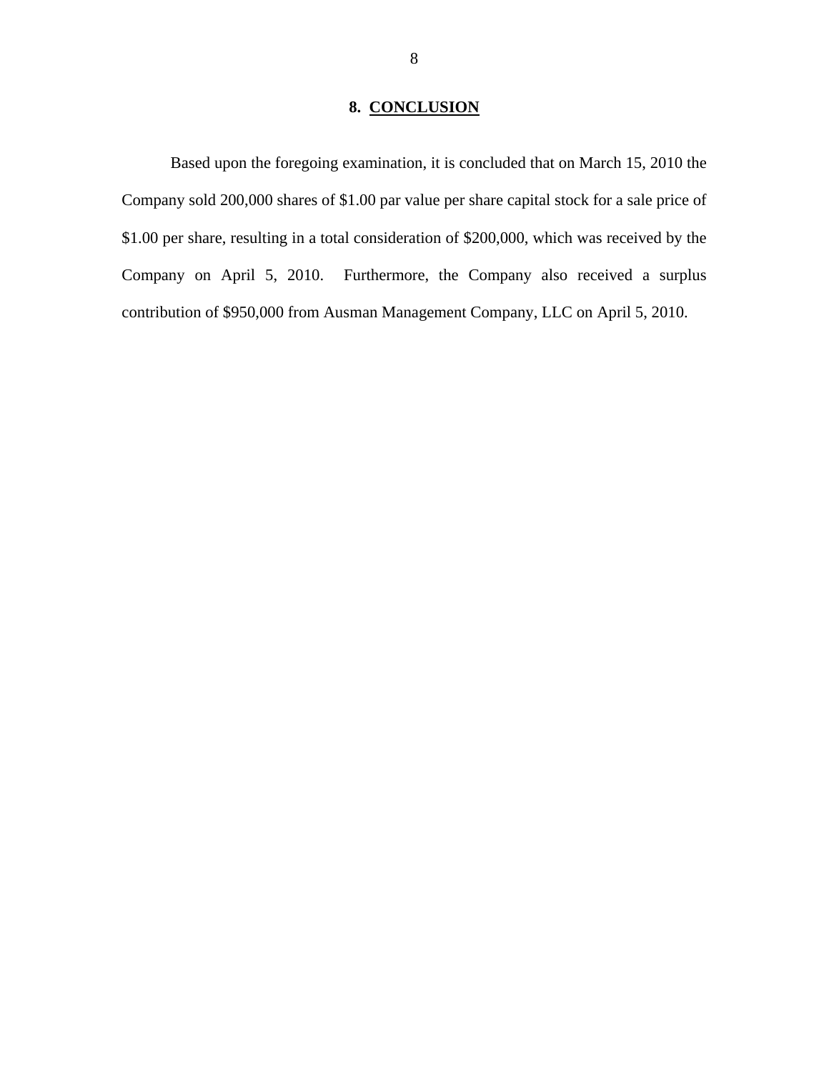# **8. CONCLUSION**

<span id="page-9-0"></span>Based upon the foregoing examination, it is concluded that on March 15, 2010 the Company sold 200,000 shares of \$1.00 par value per share capital stock for a sale price of \$1.00 per share, resulting in a total consideration of \$200,000, which was received by the Company on April 5, 2010. Furthermore, the Company also received a surplus contribution of \$950,000 from Ausman Management Company, LLC on April 5, 2010.